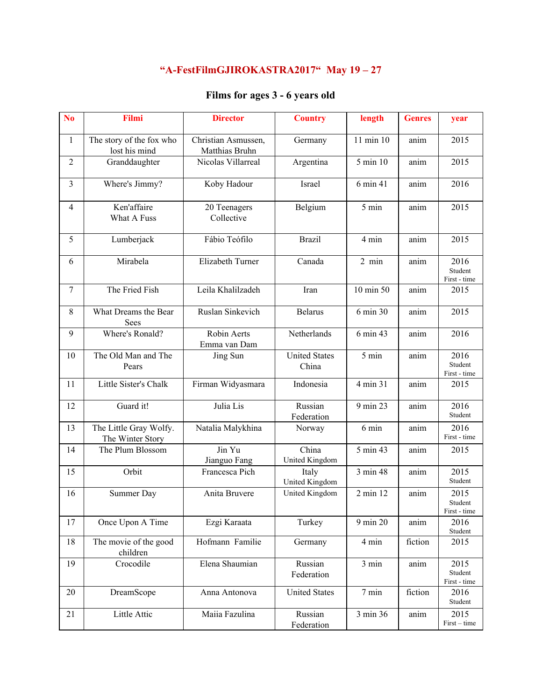## **"A-FestFilmGJIROKASTRA2017" May 19 – 27**

## **Films for ages 3 - 6 years old**

| N <sub>o</sub> | Filmi                                      | <b>Director</b>                       | <b>Country</b>                | length          | <b>Genres</b> | year                            |
|----------------|--------------------------------------------|---------------------------------------|-------------------------------|-----------------|---------------|---------------------------------|
| $\mathbf{1}$   | The story of the fox who<br>lost his mind  | Christian Asmussen,<br>Matthias Bruhn | Germany                       | 11 min 10       | anim          | 2015                            |
| $\overline{2}$ | Granddaughter                              | Nicolas Villarreal                    | Argentina                     | 5 min 10        | anim          | 2015                            |
| $\overline{3}$ | Where's Jimmy?                             | Koby Hadour                           | Israel                        | 6 min 41        | anim          | 2016                            |
| $\overline{4}$ | Ken'affaire<br>What A Fuss                 | 20 Teenagers<br>Collective            | Belgium                       | 5 min           | anim          | 2015                            |
| 5              | Lumberjack                                 | Fábio Teófilo                         | <b>Brazil</b>                 | 4 min           | anim          | 2015                            |
| 6              | Mirabela                                   | Elizabeth Turner                      | Canada                        | $2 \text{ min}$ | anim          | 2016<br>Student<br>First - time |
| 7              | The Fried Fish                             | Leila Khalilzadeh                     | Iran                          | 10 min 50       | anim          | 2015                            |
| 8              | What Dreams the Bear<br>Sees               | Ruslan Sinkevich                      | <b>Belarus</b>                | 6 min 30        | anim          | 2015                            |
| 9              | Where's Ronald?                            | Robin Aerts<br>Emma van Dam           | Netherlands                   | 6 min 43        | anim          | 2016                            |
| 10             | The Old Man and The<br>Pears               | Jing Sun                              | <b>United States</b><br>China | 5 min           | anim          | 2016<br>Student<br>First - time |
| 11             | Little Sister's Chalk                      | Firman Widyasmara                     | Indonesia                     | 4 min 31        | anim          | 2015                            |
| 12             | Guard it!                                  | Julia Lis                             | Russian<br>Federation         | 9 min 23        | anim          | 2016<br>Student                 |
| 13             | The Little Gray Wolfy.<br>The Winter Story | Natalia Malykhina                     | Norway                        | 6 min           | anim          | 2016<br>First - time            |
| 14             | The Plum Blossom                           | Jin Yu<br>Jianguo Fang                | China<br>United Kingdom       | 5 min 43        | anim          | 2015                            |
| 15             | Orbit                                      | Francesca Pich                        | Italy<br>United Kingdom       | 3 min 48        | anim          | 2015<br>Student                 |
| 16             | Summer Day                                 | Anita Bruvere                         | United Kingdom                | 2 min 12        | anim          | 2015<br>Student<br>First - time |
| 17             | Once Upon A Time                           | Ezgi Karaata                          | Turkey                        | 9 min 20        | anim          | 2016<br>Student                 |
| 18             | The movie of the good<br>children          | Hofmann Familie                       | Germany                       | 4 min           | fiction       | 2015                            |
| 19             | Crocodile                                  | Elena Shaumian                        | Russian<br>Federation         | 3 min           | anim          | 2015<br>Student<br>First - time |
| 20             | DreamScope                                 | Anna Antonova                         | <b>United States</b>          | 7 min           | fiction       | 2016<br>Student                 |
| 21             | Little Attic                               | Maiia Fazulina                        | Russian<br>Federation         | 3 min 36        | anim          | 2015<br>First – time            |